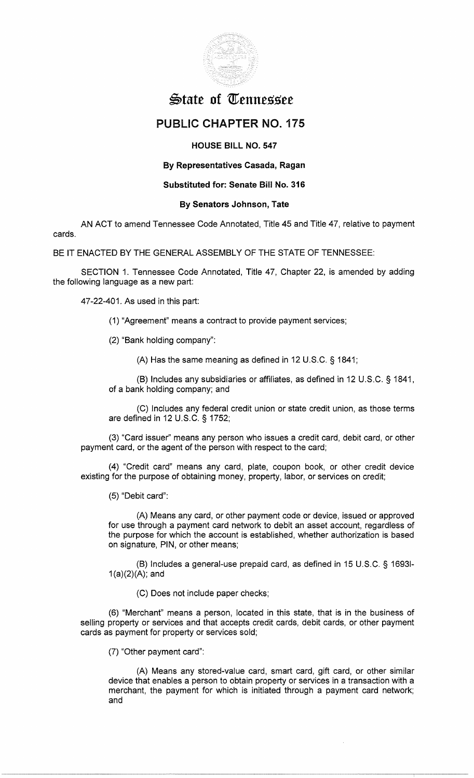

# $\bigoplus$ tate of Tennessee

# PUBLIC **CHAPTER** NO. 175

## **HOUSE BILL NO. 547**

# **By Representatives Casada, Ragan**

### **Substituted for: Senate Bill No. 316**

### **By Senators Johnson, Tate**

AN ACT to amend Tennessee Code Annotated, Title 45 and Title 47, relative to payment cards.

BE IT ENACTED BY THE GENERAL ASSEMBLY OF THE STATE OF TENNESSEE:

SECTION 1. Tennessee Code Annotated, Title 47, Chapter 22, is amended by adding the following language as a new part:

47-22-401. As used in this part:

(1) "Agreement" means a contract to provide payment services;

(2) "Bank holding company":

(A) Has the same meaning as defined in 12 U.S.C. § 1841;

(B) Includes any subsidiaries or affiliates, as defined in 12 U.S.C. § 1841, of a bank holding company; and

(C) Includes any federal credit union or state credit union, as those terms are defined in 12 U.S.C. § 1752;

(3) "Card issuer'' means any person who issues a credit card, debit card, or other payment card, or the agent of the person with respect to the card;

(4) "Credit card" means any card, plate, coupon book, or other credit device existing for the purpose of obtaining money, property, labor, or services on credit;

(5) "Debit card":

(A) Means any card, or other payment code or device, issued or approved for use through a payment card network to debit an asset account, regardless of the purpose for which the account is established, whether authorization is based on signature, PIN, or other means;

(B) Includes a general-use prepaid card, as defined in 15 U.S.C. § 16931-  $1(a)(2)(A);$  and

(C) Does not include paper checks;

(6) "Merchant" means a person, located in this state, that is in the business of selling property or services and that accepts credit cards, debit cards, or other payment cards as payment for property or services sold;

(7) "Other payment card":

(A) Means any stored-value card, smart card, gift card, or other similar device that enables a person to obtain property or services in a transaction with a merchant, the payment for which is initiated through a payment card network; and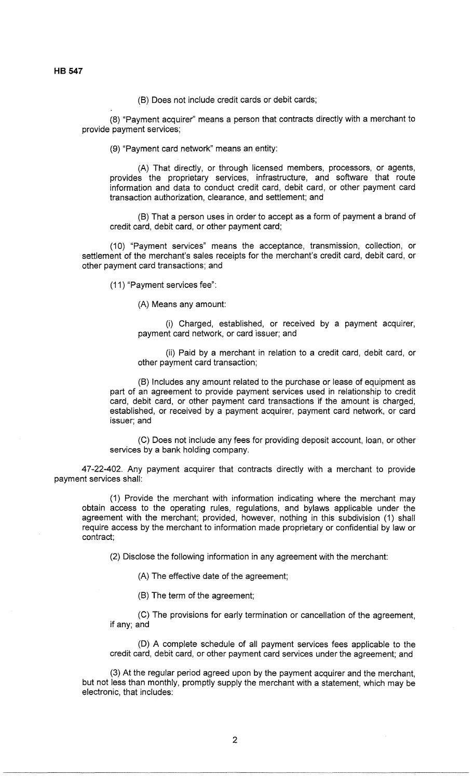(B) Does not include credit cards or debit cards;

(8) "Payment acquirer'' means a person that contracts directly with a merchant to provide payment services;

(9) "Payment card network" means an entity:

(A) That directly, or through licensed members, processors, or agents, provides the proprietary services, infrastructure, and software that route information and data to conduct credit card, debit card, or other payment card transaction authorization, clearance, and settlement; and

(B) That a person uses in order to accept as a form of payment a brand of credit card, debit card, or other payment card;

(10) "Payment services" means the acceptance, transmission, collection, or settlement of the merchant's sales receipts for the merchant's credit card, debit card, or other payment card transactions; and

(11) "Payment services fee":

(A) Means any amount:

(i) Charged, established, or received by a payment acquirer, payment card network, or card issuer; and

(ii) Paid by a merchant in relation to a credit card, debit card, or other payment card transaction;

(B) Includes any amount related to the purchase or lease of equipment as part of an agreement to provide payment services used in relationship to credit card, debit card, or other payment card transactions if the amount is charged, established, or received by a payment acquirer, payment card network, or card issuer; and

(C) Does not include any fees for providing deposit account, loan, or other services by a bank holding company.

47-22-402. Any payment acquirer that contracts directly with a merchant to provide payment services shall:

(1) Provide the merchant with information indicating where the merchant may obtain access to the operating rules, regulations, and bylaws applicable under the agreement with the merchant; provided, however, nothing in this subdivision (1) shall require access by the merchant to information made proprietary or confidential by law or contract;

(2) Disclose the following information in any agreement with the merchant:

(A) The effective date of the agreement;

(B) The term of the agreement;

(C) The provisions for early termination or cancellation of the agreement, if any; and

(D) A complete schedule of all payment services fees applicable to the credit card, debit card, or other payment card services under the agreement; and

(3) At the regular period agreed upon by the payment acquirer and the merchant, but not less than monthly, promptly supply the merchant with a statement, which may be electronic, that includes: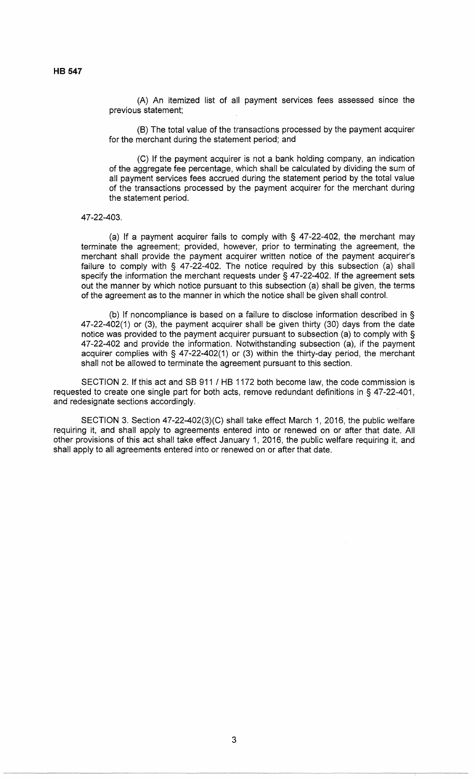(A) An itemized list of all payment services fees assessed since the previous statement;

(B) The total value of the transactions processed by the payment acquirer for the merchant during the statement period; and

(C) If the payment acquirer is not a bank holding company, an indication of the aggregate fee percentage, which shall be calculated by dividing the sum of all payment services fees accrued during the statement period by the total value of the transactions processed by the payment acquirer for the merchant during the statement period.

47-22-403.

(a) If a payment acquirer fails to comply with  $\S$  47-22-402, the merchant may terminate the agreement; provided, however, prior to terminating the agreement, the merchant shall provide the payment acquirer written notice of the payment acquirer's failure to comply with § 47-22-402. The notice required by this subsection (a) shall specify the information the merchant requests under § 47-22-402. If the agreement sets out the manner by which notice pursuant to this subsection (a) shall be given, the terms of the agreement as to the manner in which the notice shall be given shall control.

(b) If noncompliance is based on a failure to disclose information described in § 47-22-402(1) or (3), the payment acquirer shall be given thirty (30) days from the date notice was provided to the payment acquirer pursuant to subsection (a) to comply with § 47-22-402 and provide the information. Notwithstanding subsection (a), if the payment acquirer complies with § 47-22-402(1) or (3) within the thirty-day period, the merchant shall not be allowed to terminate the agreement pursuant to this section.

SECTION 2. If this act and SB 911 / HB 1172 both become law, the code commission is requested to create one single part for both acts, remove redundant definitions in § 47-22-401, and redesignate sections accordingly.

SECTION 3. Section 47-22-402(3)(C) shall take effect March 1, 2016, the public welfare requiring it, and shall apply to agreements entered into or renewed on or after that date. All other provisions of this act shall take effect January 1, 2016, the public welfare requiring it, and shall apply to all agreements entered into or renewed on or after that date.